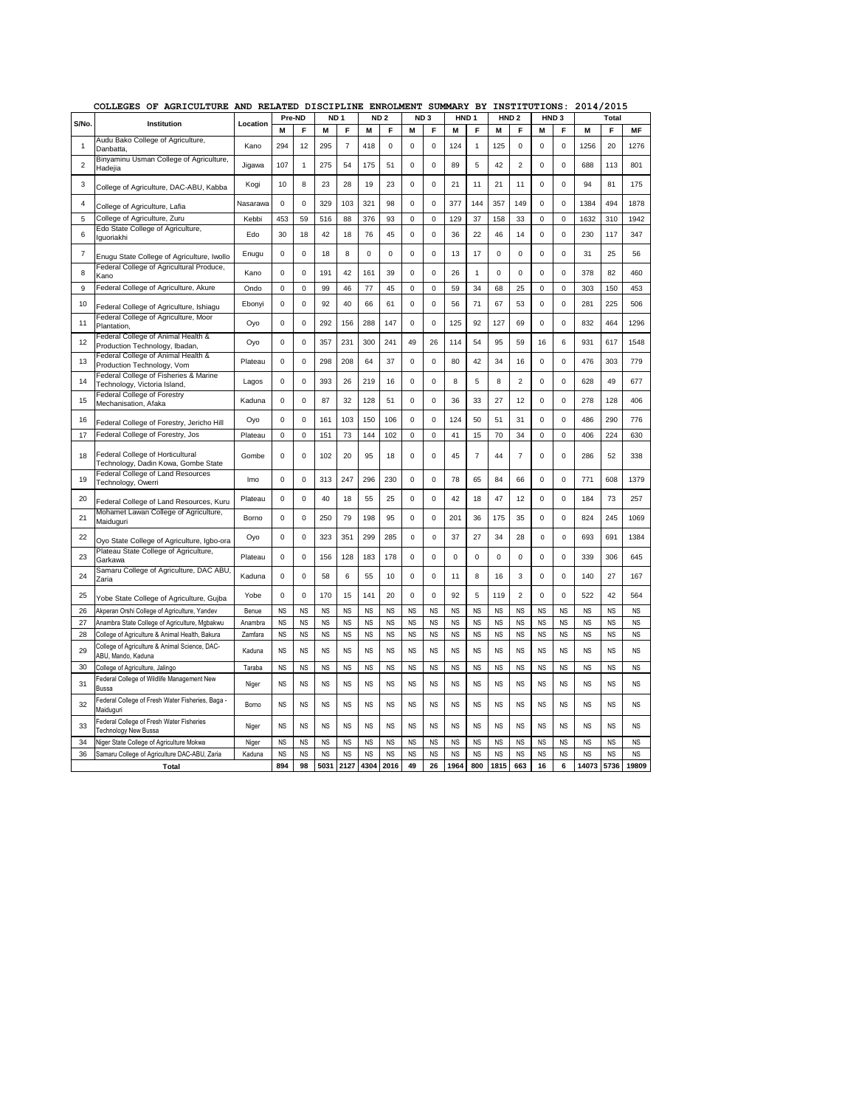|                | AGRICULTURE<br>COLLEGES<br>ОF                                           | <b>AND</b> | RELATED DISCIPLINE |             |                 |                |                 | <b>ENROLMENT</b> |             |                 | SUMMARY BY       |           |                  | INSTITUTIONS:             |                  |             | 2014/2015 |           |           |
|----------------|-------------------------------------------------------------------------|------------|--------------------|-------------|-----------------|----------------|-----------------|------------------|-------------|-----------------|------------------|-----------|------------------|---------------------------|------------------|-------------|-----------|-----------|-----------|
| S/No.          | Institution                                                             | Location   | Pre-ND             |             | ND <sub>1</sub> |                | ND <sub>2</sub> |                  |             | ND <sub>3</sub> | HND <sub>1</sub> |           | HND <sub>2</sub> |                           | HND <sub>3</sub> |             |           | Total     |           |
|                | Audu Bako College of Agriculture,                                       |            | M                  | F           | M               | F              | М               | F                | M           | F               | M                | F         | M                | F                         | M                | F           | M         | F         | MF        |
| 1              | Danbatta,                                                               | Kano       | 294                | 12          | 295             | $\overline{7}$ | 418             | $\mathbf 0$      | $\pmb{0}$   | $\mathbf 0$     | 124              | 1         | 125              | $\mathsf 0$               | $\mathbf 0$      | $\mathbf 0$ | 1256      | 20        | 1276      |
| $\overline{c}$ | Binyaminu Usman College of Agriculture,<br>Hadejia                      | Jigawa     | 107                | 1           | 275             | 54             | 175             | 51               | $\pmb{0}$   | $\mathbf 0$     | 89               | 5         | 42               | $\overline{c}$            | $\mathbf 0$      | $\mathbf 0$ | 688       | 113       | 801       |
| 3              | College of Agriculture, DAC-ABU, Kabba                                  | Kogi       | 10                 | 8           | 23              | 28             | 19              | 23               | 0           | 0               | 21               | 11        | 21               | 11                        | $\mathbf 0$      | $\mathbf 0$ | 94        | 81        | 175       |
| 4              | College of Agriculture, Lafia                                           | Nasarawa   | $\mathbf 0$        | 0           | 329             | 103            | 321             | 98               | 0           | 0               | 377              | 144       | 357              | 149                       | $\mathbf 0$      | 0           | 1384      | 494       | 1878      |
| 5              | College of Agriculture, Zuru                                            | Kebbi      | 453                | 59          | 516             | 88             | 376             | 93               | 0           | 0               | 129              | 37        | 158              | 33                        | $\mathbf 0$      | $\mathbf 0$ | 1632      | 310       | 1942      |
| 6              | Edo State College of Agriculture,<br>lguoriakhi                         | Edo        | 30                 | 18          | 42              | 18             | 76              | 45               | $\mathbf 0$ | $\mathbf 0$     | 36               | 22        | 46               | 14                        | $\mathbf 0$      | $\mathbf 0$ | 230       | 117       | 347       |
| $\overline{7}$ | Enugu State College of Agriculture, Iwollo                              | Enugu      | $\mathbf 0$        | $\mathbf 0$ | 18              | 8              | $\mathbf 0$     | $\mathbf 0$      | $\mathbf 0$ | $\mathbf 0$     | 13               | 17        | $\mathbf 0$      | $\mathbf 0$               | $\mathbf 0$      | $\mathbf 0$ | 31        | 25        | 56        |
| 8              | Federal College of Agricultural Produce,<br>Kano                        | Kano       | $\mathbf 0$        | 0           | 191             | 42             | 161             | 39               | $\mathbf 0$ | 0               | 26               | 1         | $\mathbf 0$      | 0                         | $\mathbf 0$      | 0           | 378       | 82        | 460       |
| 9              | Federal College of Agriculture, Akure                                   | Ondo       | $\mathbf 0$        | 0           | 99              | 46             | 77              | 45               | $\pmb{0}$   | $\mathbf 0$     | 59               | 34        | 68               | 25                        | $\mathbf 0$      | $\mathbf 0$ | 303       | 150       | 453       |
| 10             | Federal College of Agriculture, Ishiagu                                 | Ebonyi     | $\mathbf 0$        | 0           | 92              | 40             | 66              | 61               | 0           | 0               | 56               | 71        | 67               | 53                        | $\mathbf 0$      | 0           | 281       | 225       | 506       |
| 11             | Federal College of Agriculture, Moor<br>Plantation.                     | Oyo        | $\mathbf 0$        | $\pmb{0}$   | 292             | 156            | 288             | 147              | $\mathbf 0$ | $\mathbf 0$     | 125              | 92        | 127              | 69                        | $\mathbf 0$      | $\mathbf 0$ | 832       | 464       | 1296      |
| 12             | Federal College of Animal Health &<br>Production Technology, Ibadan,    | Oyo        | $\mathbf 0$        | 0           | 357             | 231            | 300             | 241              | 49          | 26              | 114              | 54        | 95               | 59                        | 16               | 6           | 931       | 617       | 1548      |
| 13             | Federal College of Animal Health &<br>Production Technology, Vom        | Plateau    | $\mathbf 0$        | $\mathbf 0$ | 298             | 208            | 64              | 37               | $\mathbf 0$ | 0               | 80               | 42        | 34               | 16                        | $\mathbf 0$      | $\mathbf 0$ | 476       | 303       | 779       |
| 14             | Federal College of Fisheries & Marine<br>Technology, Victoria Island,   | Lagos      | $\mathsf 0$        | $\pmb{0}$   | 393             | 26             | 219             | 16               | $\pmb{0}$   | 0               | 8                | 5         | 8                | $\overline{c}$            | $\mathbf 0$      | $\mathbf 0$ | 628       | 49        | 677       |
| 15             | Federal College of Forestry<br>Mechanisation, Afaka                     | Kaduna     | $\mathbf 0$        | 0           | 87              | 32             | 128             | 51               | $\pmb{0}$   | O               | 36               | 33        | 27               | 12                        | $\mathbf 0$      | $\mathbf 0$ | 278       | 128       | 406       |
| 16             | Federal College of Forestry, Jericho Hill                               | Oyo        | $\Omega$           | 0           | 161             | 103            | 150             | 106              | 0           | 0               | 124              | 50        | 51               | 31                        | $\mathbf 0$      | $\Omega$    | 486       | 290       | 776       |
| 17             | Federal College of Forestry, Jos                                        | Plateau    | $\mathsf 0$        | 0           | 151             | 73             | 144             | 102              | $\pmb{0}$   | 0               | 41               | 15        | 70               | 34                        | $\mathbf 0$      | 0           | 406       | 224       | 630       |
| 18             | Federal College of Horticultural<br>Technology, Dadin Kowa, Gombe State | Gombe      | $\mathbf 0$        | $\mathbf 0$ | 102             | 20             | 95              | 18               | 0           | 0               | 45               | 7         | 44               | $\overline{\mathfrak{c}}$ | $\mathbf 0$      | $\Omega$    | 286       | 52        | 338       |
| 19             | Federal College of Land Resources<br>Technology, Owerri                 | Imo        | $\mathsf 0$        | 0           | 313             | 247            | 296             | 230              | $\pmb{0}$   | 0               | 78               | 65        | 84               | 66                        | $\mathbf 0$      | $\mathbf 0$ | 771       | 608       | 1379      |
| 20             | Federal College of Land Resources, Kuru                                 | Plateau    | $\mathbf 0$        | $\mathbf 0$ | 40              | 18             | 55              | 25               | $\pmb{0}$   | $\mathbf 0$     | 42               | 18        | 47               | 12                        | $\mathbf 0$      | $\mathbf 0$ | 184       | 73        | 257       |
| 21             | Mohamet Lawan College of Agriculture,<br>Maiduguri                      | Borno      | $\mathbf 0$        | $\mathbf 0$ | 250             | 79             | 198             | 95               | $\mathbf 0$ | O               | 201              | 36        | 175              | 35                        | $\mathbf 0$      | $\mathbf 0$ | 824       | 245       | 1069      |
| 22             | Oyo State College of Agriculture, Igbo-ora                              | Oyo        | $\mathbf 0$        | $\mathbf 0$ | 323             | 351            | 299             | 285              | 0           | 0               | 37               | 27        | 34               | 28                        | 0                | 0           | 693       | 691       | 1384      |
| 23             | Plateau State College of Agriculture,<br>Garkawa                        | Plateau    | $\mathsf 0$        | 0           | 156             | 128            | 183             | 178              | $\pmb{0}$   | 0               | $\mathbf 0$      | 0         | $\Omega$         | $\mathsf 0$               | $\mathbf 0$      | $\mathbf 0$ | 339       | 306       | 645       |
| 24             | Samaru College of Agriculture, DAC ABU,<br>Zaria                        | Kaduna     | 0                  | 0           | 58              | 6              | 55              | 10               | $\pmb{0}$   | 0               | 11               | 8         | 16               | 3                         | 0                | $\pmb{0}$   | 140       | 27        | 167       |
| 25             | Yobe State College of Agriculture, Gujba                                | Yobe       | $\mathbf 0$        | $\mathsf 0$ | 170             | 15             | 141             | 20               | $\pmb{0}$   | 0               | 92               | 5         | 119              | $\overline{c}$            | $\mathbf 0$      | $\mathbf 0$ | 522       | 42        | 564       |
| 26             | Akperan Orshi College of Agriculture, Yandev                            | Benue      | <b>NS</b>          | <b>NS</b>   | <b>NS</b>       | <b>NS</b>      | <b>NS</b>       | <b>NS</b>        | <b>NS</b>   | <b>NS</b>       | <b>NS</b>        | <b>NS</b> | <b>NS</b>        | <b>NS</b>                 | <b>NS</b>        | <b>NS</b>   | <b>NS</b> | <b>NS</b> | <b>NS</b> |
| 27             | Anambra State College of Agriculture, Mgbakwu                           | Anambra    | <b>NS</b>          | <b>NS</b>   | <b>NS</b>       | <b>NS</b>      | <b>NS</b>       | <b>NS</b>        | <b>NS</b>   | <b>NS</b>       | <b>NS</b>        | <b>NS</b> | <b>NS</b>        | <b>NS</b>                 | <b>NS</b>        | <b>NS</b>   | <b>NS</b> | <b>NS</b> | <b>NS</b> |
| 28             | College of Agriculture & Animal Health, Bakura                          | Zamfara    | <b>NS</b>          | <b>NS</b>   | <b>NS</b>       | <b>NS</b>      | <b>NS</b>       | <b>NS</b>        | <b>NS</b>   | <b>NS</b>       | <b>NS</b>        | <b>NS</b> | <b>NS</b>        | <b>NS</b>                 | <b>NS</b>        | <b>NS</b>   | <b>NS</b> | <b>NS</b> | <b>NS</b> |
| 29             | College of Agriculture & Animal Science, DAC-<br>ABU, Mando, Kaduna     | Kaduna     | N <sub>S</sub>     | <b>NS</b>   | <b>NS</b>       | <b>NS</b>      | <b>NS</b>       | <b>NS</b>        | <b>NS</b>   | <b>NS</b>       | <b>NS</b>        | <b>NS</b> | <b>NS</b>        | <b>NS</b>                 | <b>NS</b>        | <b>NS</b>   | <b>NS</b> | <b>NS</b> | <b>NS</b> |
| 30             | College of Agriculture, Jalingo                                         | Taraba     | <b>NS</b>          | <b>NS</b>   | <b>NS</b>       | <b>NS</b>      | <b>NS</b>       | <b>NS</b>        | <b>NS</b>   | <b>NS</b>       | <b>NS</b>        | <b>NS</b> | <b>NS</b>        | <b>NS</b>                 | <b>NS</b>        | <b>NS</b>   | <b>NS</b> | <b>NS</b> | <b>NS</b> |
| 31             | Federal College of Wildlife Management New<br><b>Russa</b>              | Niger      | <b>NS</b>          | <b>NS</b>   | <b>NS</b>       | <b>NS</b>      | <b>NS</b>       | <b>NS</b>        | <b>NS</b>   | <b>NS</b>       | <b>NS</b>        | <b>NS</b> | <b>NS</b>        | <b>NS</b>                 | <b>NS</b>        | <b>NS</b>   | <b>NS</b> | <b>NS</b> | <b>NS</b> |
| 32             | Federal College of Fresh Water Fisheries, Baga -<br>Maiduguri           | Borno      | <b>NS</b>          | <b>NS</b>   | <b>NS</b>       | <b>NS</b>      | <b>NS</b>       | <b>NS</b>        | <b>NS</b>   | <b>NS</b>       | <b>NS</b>        | <b>NS</b> | <b>NS</b>        | <b>NS</b>                 | <b>NS</b>        | <b>NS</b>   | <b>NS</b> | <b>NS</b> | <b>NS</b> |
| 33             | Federal College of Fresh Water Fisheries<br>Technology New Bussa        | Niger      | <b>NS</b>          | <b>NS</b>   | <b>NS</b>       | <b>NS</b>      | <b>NS</b>       | <b>NS</b>        | <b>NS</b>   | <b>NS</b>       | <b>NS</b>        | <b>NS</b> | <b>NS</b>        | <b>NS</b>                 | <b>NS</b>        | <b>NS</b>   | <b>NS</b> | <b>NS</b> | <b>NS</b> |
| 34             | Niger State College of Agriculture Mokwa                                | Niger      | <b>NS</b>          | <b>NS</b>   | <b>NS</b>       | <b>NS</b>      | <b>NS</b>       | <b>NS</b>        | <b>NS</b>   | <b>NS</b>       | <b>NS</b>        | <b>NS</b> | <b>NS</b>        | <b>NS</b>                 | <b>NS</b>        | <b>NS</b>   | <b>NS</b> | <b>NS</b> | <b>NS</b> |
| 36             | Samaru College of Agriculture DAC-ABU, Zaria                            | Kaduna     | <b>NS</b>          | <b>NS</b>   | <b>NS</b>       | <b>NS</b>      | <b>NS</b>       | <b>NS</b>        | <b>NS</b>   | <b>NS</b>       | <b>NS</b>        | <b>NS</b> | <b>NS</b>        | <b>NS</b>                 | <b>NS</b>        | <b>NS</b>   | <b>NS</b> | <b>NS</b> | <b>NS</b> |
|                | <b>Total</b>                                                            |            | 894                | 98          | 5031            | 2127           | 4304            | 2016             | 49          | 26              | 1964             | 800       | 815              | 663                       | 16               | 6           | 14073     | 5736      | 19809     |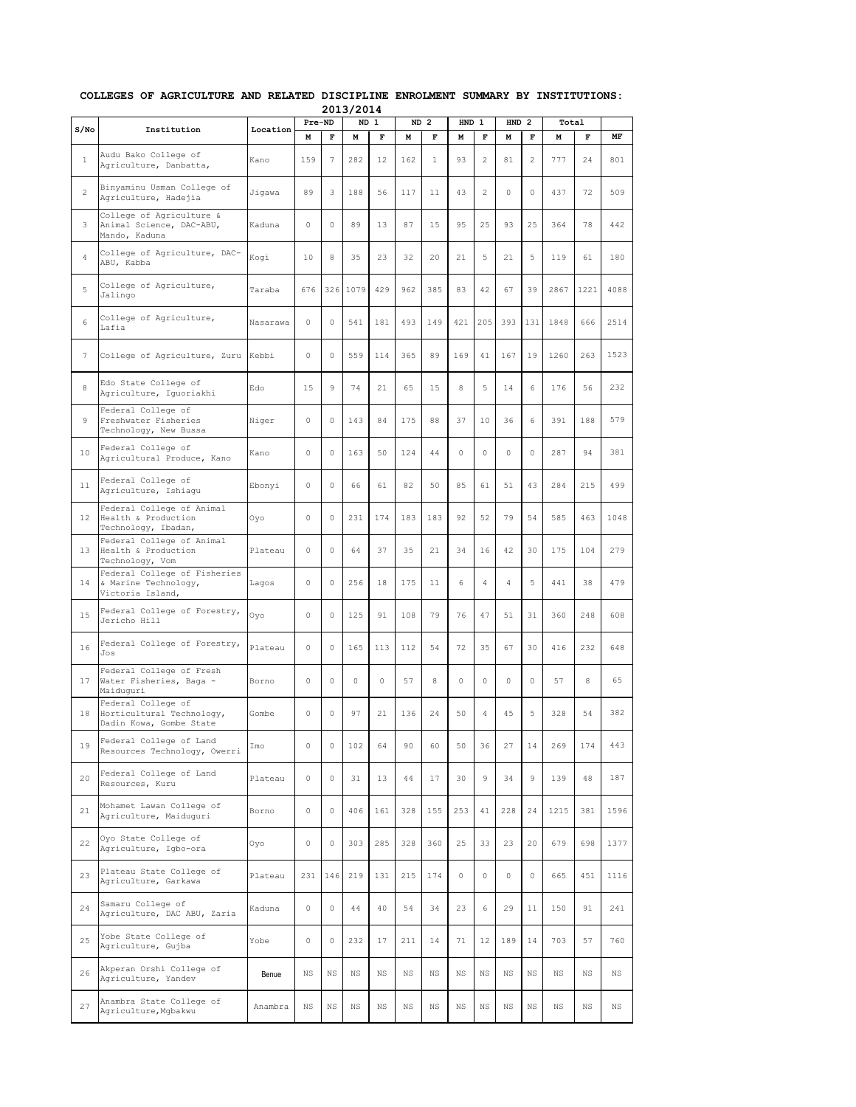|                |                                                                            |          |             |             | 2013/2014   |              |             |                 |             |                |                  |                |             |             |             |
|----------------|----------------------------------------------------------------------------|----------|-------------|-------------|-------------|--------------|-------------|-----------------|-------------|----------------|------------------|----------------|-------------|-------------|-------------|
| $S/N$ o        | Institution                                                                | Location | Pre-ND      |             | <b>ND</b>   | $\mathbf{1}$ |             | ND <sub>2</sub> | <b>HND</b>  | 1              | HND <sub>2</sub> |                | Total       |             |             |
|                |                                                                            |          | М           | F           | М           | F            | M           | F               | М           | F              | M                | F              | M           | F           | MF          |
| $\mathbf{1}$   | Audu Bako College of<br>Agriculture, Danbatta,                             | Kano     | 159         | 7           | 282         | 12           | 162         | $\mathbf{1}$    | 93          | $\overline{c}$ | 81               | $\overline{2}$ | 777         | 24          | 801         |
| $\overline{c}$ | Binyaminu Usman College of<br>Agriculture, Hadejia                         | Jiqawa   | 89          | 3           | 188         | 56           | 117         | 11              | 43          | 2              | 0                | 0              | 437         | 72          | 509         |
| 3              | College of Agriculture &<br>Animal Science, DAC-ABU,<br>Mando, Kaduna      | Kaduna   | $\circ$     | $\circ$     | 89          | 13           | 87          | 15              | 95          | 25             | 93               | 25             | 364         | 78          | 442         |
| 4              | College of Agriculture, DAC-<br>ABU, Kabba                                 | Kogi     | 10          | 8           | 35          | 23           | 32          | 20              | 21          | 5              | 21               | 5              | 119         | 61          | 180         |
| 5              | College of Agriculture,<br>Jalingo                                         | Taraba   | 676         |             | 326 1079    | 429          | 962         | 385             | 83          | 42             | 67               | 39             | 2867        | 1221        | 4088        |
| 6              | College of Agriculture,<br>Lafia                                           | Nasarawa | $\circ$     | 0           | 541         | 181          | 493         | 149             | 421         | 205            | 393              | 131            | 1848        | 666         | 2514        |
| $\overline{7}$ | College of Agriculture, Zuru                                               | Kebbi    | 0           | $\circ$     | 559         | 114          | 365         | 89              | 169         | 41             | 167              | 19             | 1260        | 263         | 1523        |
| 8              | Edo State College of<br>Agriculture, Iguoriakhi                            | Edo      | 15          | 9           | 74          | 21           | 65          | 15              | 8           | 5              | 14               | 6              | 176         | 56          | 232         |
| 9              | Federal College of<br>Freshwater Fisheries<br>Technology, New Bussa        | Niger    | $\circ$     | $\circ$     | 143         | 84           | 175         | 88              | 37          | 10             | 36               | 6              | 391         | 188         | 579         |
| 10             | Federal College of<br>Agricultural Produce, Kano                           | Kano     | $\circ$     | 0           | 163         | 50           | 124         | 44              | $\circ$     | 0              | 0                | 0              | 287         | 94          | 381         |
| 11             | Federal College of<br>Agriculture, Ishiaqu                                 | Ebonyi   | $\circ$     | $\circ$     | 66          | 61           | 82          | 50              | 85          | 61             | 51               | 43             | 284         | 215         | 499         |
| 12             | Federal College of Animal<br>Health & Production<br>Technology, Ibadan,    | Oyo      | $\circ$     | 0           | 231         | 174          | 183         | 183             | 92          | 52             | 79               | 54             | 585         | 463         | 1048        |
| 13             | Federal College of Animal<br>Health & Production<br>Technology, Vom        | Plateau  | 0           | 0           | 64          | 37           | 35          | 21              | 34          | 16             | 42               | 30             | 175         | 104         | 279         |
| 14             | Federal College of Fisheries<br>& Marine Technology,<br>Victoria Island,   | Lagos    | $\circ$     | 0           | 256         | 18           | 175         | 11              | 6           | 4              | 4                | 5              | 441         | 38          | 479         |
| 15             | Federal College of Forestry,<br>Jericho Hill                               | Oyo      | $\circ$     | 0           | 125         | 91           | 108         | 79              | 76          | 47             | 51               | 31             | 360         | 248         | 608         |
| 16             | Federal College of Forestry,<br>Jos                                        | Plateau  | $\circ$     | 0           | 165         | 113          | 112         | 54              | 72          | 35             | 67               | 30             | 416         | 232         | 648         |
| 17             | Federal College of Fresh<br>Water Fisheries, Baga -<br>Maiduquri           | Borno    | 0           | 0           | $\circ$     | 0            | 57          | 8               | $\circ$     | 0              | 0                | $\circ$        | 57          | 8           | 65          |
| 18             | Federal College of<br>Horticultural Technology,<br>Dadin Kowa, Gombe State | Gombe    | 0           | 0           | 97          | 21           | 136         | 24              | 50          | 4              | 45               | 5              | 328         | 54          | 382         |
| 19             | Federal College of Land<br>Resources Technology, Owerri                    | Imo      | $\circ$     | 0           | 102         | 64           | 90          | 60              | 50          | 36             | 27               | 14             | 269         | 174         | 443         |
| 20             | Federal College of Land<br>Resources, Kuru                                 | Plateau  | 0           | 0           | 31          | 13           | 44          | 17              | 30          | 9              | 34               | 9              | 139         | 48          | 187         |
| 21             | Mohamet Lawan College of<br>Agriculture, Maiduguri                         | Borno    | 0           | 0           | 406         | 161          | 328         | 155             | 253         | 41             | 228              | 24             | 1215        | 381         | 1596        |
| 22             | Oyo State College of<br>Agriculture, Igbo-ora                              | Oyo      | 0           | 0           | 303         | 285          | 328         | 360             | 25          | 33             | 23               | 20             | 679         | 698         | 1377        |
| 23             | Plateau State College of<br>Agriculture, Garkawa                           | Plateau  | 231         | 146         | 219         | 131          | 215         | 174             | $\circ$     | 0              | $\circ$          | $\circ$        | 665         | 451         | 1116        |
| 24             | Samaru College of<br>Agriculture, DAC ABU, Zaria                           | Kaduna   | $\circ$     | 0           | 44          | 40           | 54          | 34              | 23          | 6              | 29               | 11             | 150         | 91          | 241         |
| 25             | Yobe State College of<br>Agriculture, Gujba                                | Yobe     | 0           | 0           | 232         | 17           | 211         | 14              | 71          | 12             | 189              | 14             | 703         | 57          | 760         |
| 26             | Akperan Orshi College of<br>Agriculture, Yandev                            | Benue    | ΝS          | $_{\rm NS}$ | $_{\rm NS}$ | $_{\rm NS}$  | NS.         | <b>NS</b>       | $_{\rm NS}$ | <b>NS</b>      | NS               | $_{\rm NS}$    | $_{\rm NS}$ | $_{\rm NS}$ | $_{\rm NS}$ |
| 27             | Anambra State College of<br>Agriculture, Mgbakwu                           | Anambra  | $_{\rm NS}$ | $_{\rm NS}$ | $_{\rm NS}$ | $_{\rm NS}$  | $_{\rm NS}$ | $_{\rm NS}$     | $_{\rm NS}$ | $_{\rm NS}$    | $_{\rm NS}$      | $_{\rm NS}$    | $_{\rm NS}$ | $_{\rm NS}$ | $_{\rm NS}$ |

## **COLLEGES OF AGRICULTURE AND RELATED DISCIPLINE ENROLMENT SUMMARY BY INSTITUTIONS: 2013/2014**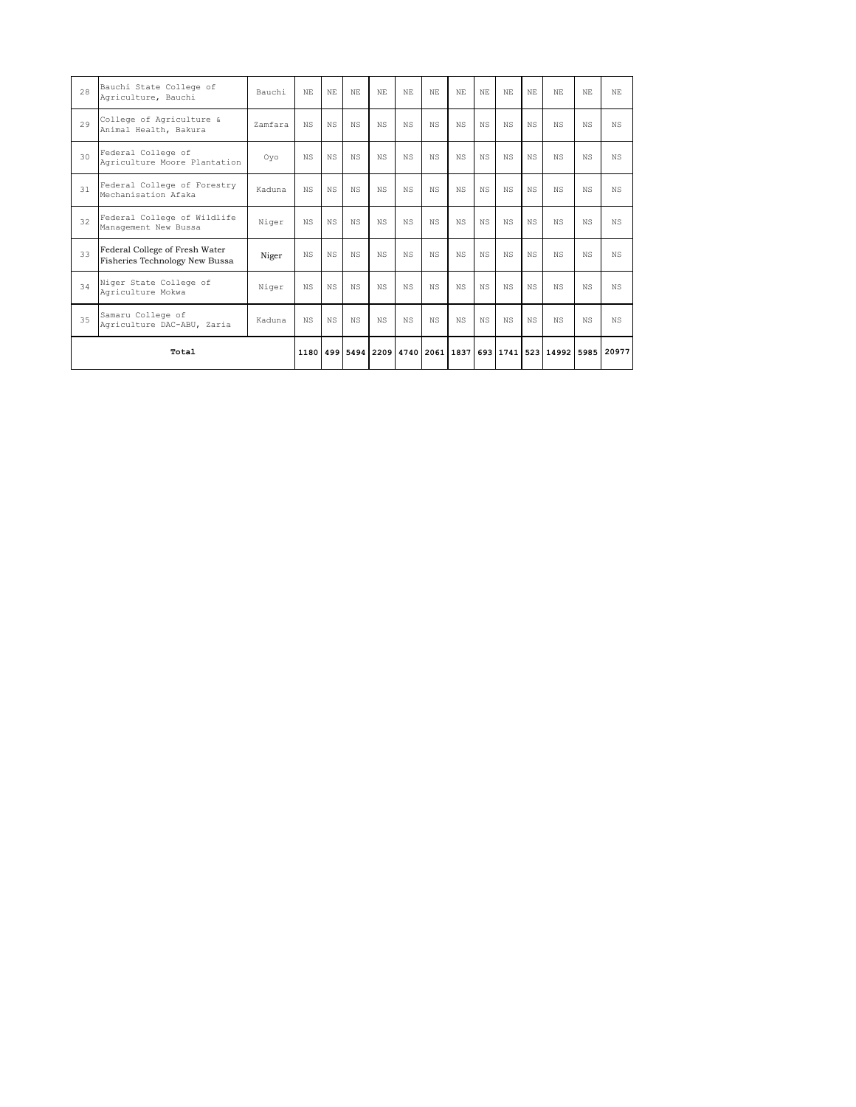| Total |                                                                  |         |     |     |      |     |     |     |     |           |           |      | 1180 499 5494 2209 4740 2061 1837 693 1741 523 14992 5985 20977 |     |      |
|-------|------------------------------------------------------------------|---------|-----|-----|------|-----|-----|-----|-----|-----------|-----------|------|-----------------------------------------------------------------|-----|------|
| 35    | Samaru College of<br>Agriculture DAC-ABU, Zaria                  | Kaduna  | NS. | NS  | N.S. | NS  | N.S | NS. | NS. | N.S       | N.S       | NS.  | NS.                                                             | NS. | N.S. |
| 34    | Niger State College of<br>Agriculture Mokwa                      | Niger   | NS. | NS. | NS.  | NS. | N.S | NS. | NS. | NS        | N.S       | NS.  | NS.                                                             | NS. | N.S. |
| 33    | Federal College of Fresh Water<br>Fisheries Technology New Bussa | Niger   | NS. | NS  | N.S. | NS  | N.S | NS. | NS. | N.S       | N.S       | N.S. | NS.                                                             | NS. | N.S. |
| 32    | Federal College of Wildlife<br>Management New Bussa              | Niger   | NS. | NS  | NS.  | NS  | N.S | NS. | NS. | NS        | N.S       | N.S. | NS.                                                             | ΝS  | N.S. |
| 31    | Federal College of Forestry<br>Mechanisation Afaka               | Kaduna  | NS  | NS. | NS.  | NS  | NS. | NS. | NS  | NS        | <b>NS</b> | NS.  | NS.                                                             | ΝS  | N.S. |
| 30    | Federal College of<br>Agriculture Moore Plantation               | Ovo     | NS. | NS. | N.S. | NS  | NS. | NS. | NS. | <b>NS</b> | N.S       | NS.  | ΝS                                                              | NS. | N.S. |
| 29    | College of Agriculture &<br>Animal Health, Bakura                | Zamfara | NS. | NS  | NS.  | NS  | N.S | NS. | NS. | NS        | N.S       | NS.  | NS.                                                             | NS. | N.S. |
| 28    | Bauchi State College of<br>Agriculture, Bauchi                   | Bauchi  | NF. | NF. | NE.  | NF. | NF. | NF. | NF. | NF.       | NE.       | NF.  | NF.                                                             | NF. | NE.  |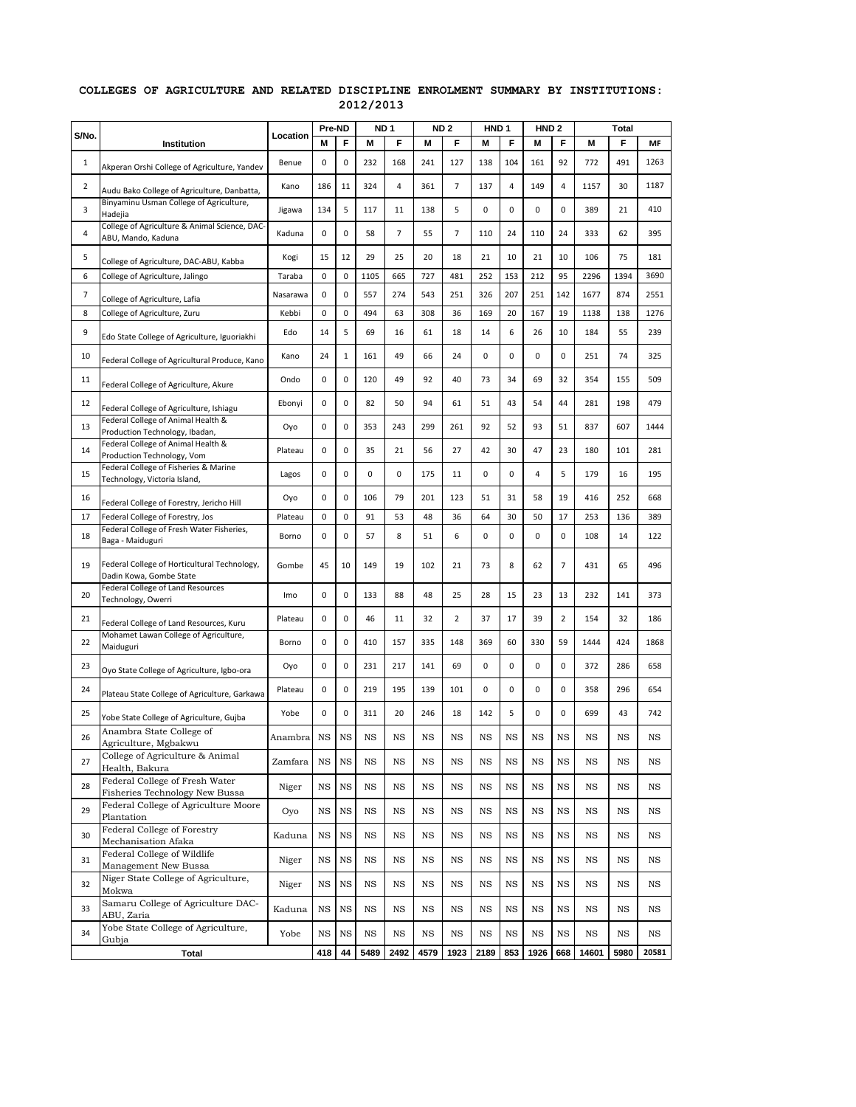## **COLLEGES OF AGRICULTURE AND RELATED DISCIPLINE ENROLMENT SUMMARY BY INSTITUTIONS: 2012/2013**

|       |                                                                         |          | Pre-ND      |           | ND <sub>1</sub> |             |             | ND <sub>2</sub> | HND <sub>1</sub> |             | HND <sub>2</sub> |             |       | <b>Total</b> |       |
|-------|-------------------------------------------------------------------------|----------|-------------|-----------|-----------------|-------------|-------------|-----------------|------------------|-------------|------------------|-------------|-------|--------------|-------|
| S/No. | Institution                                                             | Location | М           | F         | M               | F           | М           | F               | М                | F           | М                | F           | M     | F            | MF    |
| 1     | Akperan Orshi College of Agriculture, Yandev                            | Benue    | 0           | 0         | 232             | 168         | 241         | 127             | 138              | 104         | 161              | 92          | 772   | 491          | 1263  |
| 2     | Audu Bako College of Agriculture, Danbatta,                             | Kano     | 186         | 11        | 324             | 4           | 361         | 7               | 137              | 4           | 149              | 4           | 1157  | 30           | 1187  |
| 3     | Binyaminu Usman College of Agriculture,<br>Hadejia                      | Jigawa   | 134         | 5         | 117             | 11          | 138         | 5               | 0                | 0           | 0                | 0           | 389   | 21           | 410   |
| 4     | College of Agriculture & Animal Science, DAC<br>ABU, Mando, Kaduna      | Kaduna   | 0           | 0         | 58              | 7           | 55          | 7               | 110              | 24          | 110              | 24          | 333   | 62           | 395   |
| 5     | College of Agriculture, DAC-ABU, Kabba                                  | Kogi     | 15          | 12        | 29              | 25          | 20          | 18              | 21               | 10          | 21               | 10          | 106   | 75           | 181   |
| 6     | College of Agriculture, Jalingo                                         | Taraba   | 0           | $\pmb{0}$ | 1105            | 665         | 727         | 481             | 252              | 153         | 212              | 95          | 2296  | 1394         | 3690  |
| 7     | College of Agriculture, Lafia                                           | Nasarawa | $\mathbf 0$ | 0         | 557             | 274         | 543         | 251             | 326              | 207         | 251              | 142         | 1677  | 874          | 2551  |
| 8     | College of Agriculture, Zuru                                            | Kebbi    | $\mathbf 0$ | 0         | 494             | 63          | 308         | 36              | 169              | 20          | 167              | 19          | 1138  | 138          | 1276  |
| 9     | Edo State College of Agriculture, Iguoriakhi                            | Edo      | 14          | 5         | 69              | 16          | 61          | 18              | 14               | 6           | 26               | 10          | 184   | 55           | 239   |
| 10    | Federal College of Agricultural Produce, Kano                           | Kano     | 24          | $1\,$     | 161             | 49          | 66          | 24              | 0                | 0           | 0                | 0           | 251   | 74           | 325   |
| 11    | Federal College of Agriculture, Akure                                   | Ondo     | 0           | 0         | 120             | 49          | 92          | 40              | 73               | 34          | 69               | 32          | 354   | 155          | 509   |
| 12    | Federal College of Agriculture, Ishiagu                                 | Ebonyi   | 0           | 0         | 82              | 50          | 94          | 61              | 51               | 43          | 54               | 44          | 281   | 198          | 479   |
| 13    | Federal College of Animal Health &<br>Production Technology, Ibadan,    | Oyo      | 0           | 0         | 353             | 243         | 299         | 261             | 92               | 52          | 93               | 51          | 837   | 607          | 1444  |
| 14    | Federal College of Animal Health &<br>Production Technology, Vom        | Plateau  | 0           | 0         | 35              | 21          | 56          | 27              | 42               | 30          | 47               | 23          | 180   | 101          | 281   |
| 15    | Federal College of Fisheries & Marine<br>Technology, Victoria Island,   | Lagos    | 0           | 0         | 0               | 0           | 175         | 11              | 0                | 0           | 4                | 5           | 179   | 16           | 195   |
| 16    | Federal College of Forestry, Jericho Hill                               | Oyo      | 0           | 0         | 106             | 79          | 201         | 123             | 51               | 31          | 58               | 19          | 416   | 252          | 668   |
| 17    | Federal College of Forestry, Jos                                        | Plateau  | 0           | 0         | 91              | 53          | 48          | 36              | 64               | 30          | 50               | 17          | 253   | 136          | 389   |
| 18    | Federal College of Fresh Water Fisheries,<br>Baga - Maiduguri           | Borno    | 0           | 0         | 57              | 8           | 51          | 6               | 0                | 0           | 0                | 0           | 108   | 14           | 122   |
| 19    | Federal College of Horticultural Technology,<br>Dadin Kowa, Gombe State | Gombe    | 45          | 10        | 149             | 19          | 102         | 21              | 73               | 8           | 62               | 7           | 431   | 65           | 496   |
| 20    | Federal College of Land Resources<br>Technology, Owerri                 | Imo      | 0           | $\pmb{0}$ | 133             | 88          | 48          | 25              | 28               | 15          | 23               | 13          | 232   | 141          | 373   |
| 21    | Federal College of Land Resources, Kuru                                 | Plateau  | 0           | 0         | 46              | 11          | 32          | 2               | 37               | 17          | 39               | 2           | 154   | 32           | 186   |
| 22    | Mohamet Lawan College of Agriculture,<br>Maiduguri                      | Borno    | $\mathbf 0$ | 0         | 410             | 157         | 335         | 148             | 369              | 60          | 330              | 59          | 1444  | 424          | 1868  |
| 23    | Oyo State College of Agriculture, Igbo-ora                              | Oyo      | 0           | 0         | 231             | 217         | 141         | 69              | 0                | 0           | 0                | 0           | 372   | 286          | 658   |
| 24    | Plateau State College of Agriculture, Garkawa                           | Plateau  | 0           | 0         | 219             | 195         | 139         | 101             | 0                | 0           | 0                | 0           | 358   | 296          | 654   |
| 25    | Yobe State College of Agriculture, Gujba                                | Yobe     | 0           | 0         | 311             | 20          | 246         | 18              | 142              | 5           | 0                | 0           | 699   | 43           | 742   |
| 26    | Anambra State College of<br>Agriculture, Mgbakwu                        | Anambra  | NS          | NS        | NS              | NS          | NS          | NS              | NS               | <b>NS</b>   | NS               | $_{\rm NS}$ | NS    | NS           | NS    |
| 27    | College of Agriculture & Animal<br>Health, Bakura                       | Zamfara  | NS          | NS        | NS              | NS          | NS          | NS              | NS               | <b>NS</b>   | NS               | NS          | NS    | NS           | NS    |
| 28    | Federal College of Fresh Water<br>Fisheries Technology New Bussa        | Niger    | NS          | NS        | NS              | NS          | NS          | NS              | NS               | NS          | NS               | NS          | NS    | NS           | NS    |
| 29    | Federal College of Agriculture Moore<br>Plantation                      | Oyo      | NS          | NS        | NS              | $_{\rm NS}$ | NS          | NS              | NS               | <b>NS</b>   | NS               | $_{\rm NS}$ | NS    | NS           | NS    |
| 30    | Federal College of Forestry<br>Mechanisation Afaka                      | Kaduna   | NS          | NS        | NS              | $_{\rm NS}$ | NS          | NS              | NS               | NS          | NS               | NS          | NS    | NS           | NS    |
| 31    | Federal College of Wildlife<br>Management New Bussa                     | Niger    | NS          | <b>NS</b> | NS              | NS          | NS          | NS              | NS               | NS          | NS               | $_{\rm NS}$ | NS    | NS           | NS    |
| 32    | Niger State College of Agriculture,<br>Mokwa                            | Niger    | $_{\rm NS}$ | <b>NS</b> | NS              | $_{\rm NS}$ | $_{\rm NS}$ | NS              | NS               | $_{\rm NS}$ | NS               | $_{\rm NS}$ | NS    | NS           | NS    |
| 33    | Samaru College of Agriculture DAC-<br>ABU, Zaria                        | Kaduna   | NS          | NS        | NS              | $_{\rm NS}$ | NS          | NS              | NS               | NS          | NS               | NS          | NS    | NS           | NS    |
| 34    | Yobe State College of Agriculture,<br>Gubja                             | Yobe     | NS          | NS        | NS              | $_{\rm NS}$ | NS          | NS              | NS               | NS          | NS               | NS          | NS    | NS           | NS    |
|       | Total                                                                   |          | 418         | 44        | 5489            | 2492        | 4579        | 1923            | 2189             | 853         | 1926             | 668         | 14601 | 5980         | 20581 |